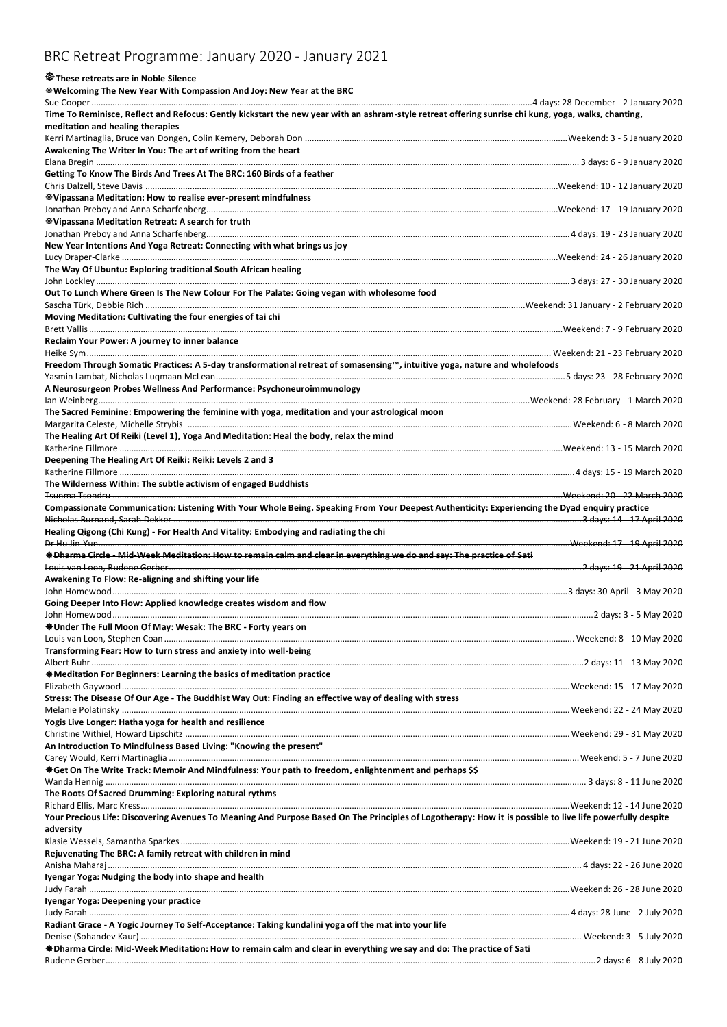## BRC Retreat Programme: January 2020 - January 2021

## **These retreats are in Noble Silence**

**Welcoming The New Year With Compassion And Joy: New Year at the BRC**

| Time To Reminisce, Reflect and Refocus: Gently kickstart the new year with an ashram-style retreat offering sunrise chi kung, yoga, walks, chanting,                                                                                    |                              |
|-----------------------------------------------------------------------------------------------------------------------------------------------------------------------------------------------------------------------------------------|------------------------------|
| meditation and healing therapies                                                                                                                                                                                                        |                              |
|                                                                                                                                                                                                                                         |                              |
| Awakening The Writer In You: The art of writing from the heart                                                                                                                                                                          |                              |
|                                                                                                                                                                                                                                         |                              |
| Getting To Know The Birds And Trees At The BRC: 160 Birds of a feather                                                                                                                                                                  |                              |
|                                                                                                                                                                                                                                         |                              |
|                                                                                                                                                                                                                                         |                              |
| <b>Wipassana Meditation: How to realise ever-present mindfulness</b>                                                                                                                                                                    |                              |
|                                                                                                                                                                                                                                         |                              |
| <b>Wipassana Meditation Retreat: A search for truth</b>                                                                                                                                                                                 |                              |
|                                                                                                                                                                                                                                         |                              |
| New Year Intentions And Yoga Retreat: Connecting with what brings us joy                                                                                                                                                                |                              |
|                                                                                                                                                                                                                                         |                              |
| The Way Of Ubuntu: Exploring traditional South African healing                                                                                                                                                                          |                              |
|                                                                                                                                                                                                                                         |                              |
| Out To Lunch Where Green Is The New Colour For The Palate: Going vegan with wholesome food                                                                                                                                              |                              |
|                                                                                                                                                                                                                                         |                              |
|                                                                                                                                                                                                                                         |                              |
| Moving Meditation: Cultivating the four energies of tai chi                                                                                                                                                                             |                              |
|                                                                                                                                                                                                                                         |                              |
| Reclaim Your Power: A journey to inner balance                                                                                                                                                                                          |                              |
|                                                                                                                                                                                                                                         |                              |
| Freedom Through Somatic Practices: A 5-day transformational retreat of somasensing™, intuitive yoga, nature and wholefoods                                                                                                              |                              |
|                                                                                                                                                                                                                                         |                              |
| A Neurosurgeon Probes Wellness And Performance: Psychoneuroimmunology                                                                                                                                                                   |                              |
|                                                                                                                                                                                                                                         |                              |
| The Sacred Feminine: Empowering the feminine with yoga, meditation and your astrological moon                                                                                                                                           |                              |
|                                                                                                                                                                                                                                         |                              |
|                                                                                                                                                                                                                                         |                              |
| The Healing Art Of Reiki (Level 1), Yoga And Meditation: Heal the body, relax the mind                                                                                                                                                  |                              |
|                                                                                                                                                                                                                                         |                              |
| Deepening The Healing Art Of Reiki: Reiki: Levels 2 and 3                                                                                                                                                                               |                              |
|                                                                                                                                                                                                                                         |                              |
| The Wilderness Within: The subtle activism of engaged Buddhists                                                                                                                                                                         |                              |
|                                                                                                                                                                                                                                         | Weekend: 20 - 22 March 2020. |
| Compassionate Communication: Listening With Your Whole Being. Speaking From Your Deepest Authenticity: Experiencing the Dyad enquiry practice                                                                                           |                              |
|                                                                                                                                                                                                                                         |                              |
| Healing Qigong (Chi Kung) - For Health And Vitality: Embodying and radiating the chi                                                                                                                                                    |                              |
|                                                                                                                                                                                                                                         |                              |
|                                                                                                                                                                                                                                         |                              |
|                                                                                                                                                                                                                                         |                              |
| #Dharma Circle - Mid-Week Meditation: How to remain calm and clear in everything we do and say: The practice of Sati                                                                                                                    |                              |
|                                                                                                                                                                                                                                         | 2 days: 19 - 21 April 2020   |
| Awakening To Flow: Re-aligning and shifting your life                                                                                                                                                                                   |                              |
|                                                                                                                                                                                                                                         |                              |
|                                                                                                                                                                                                                                         |                              |
| Going Deeper Into Flow: Applied knowledge creates wisdom and flow                                                                                                                                                                       |                              |
|                                                                                                                                                                                                                                         |                              |
| ♦Under The Full Moon Of May: Wesak: The BRC - Forty years on                                                                                                                                                                            |                              |
|                                                                                                                                                                                                                                         |                              |
| Transforming Fear: How to turn stress and anxiety into well-being                                                                                                                                                                       |                              |
|                                                                                                                                                                                                                                         |                              |
| <b>Meditation For Beginners: Learning the basics of meditation practice</b>                                                                                                                                                             |                              |
|                                                                                                                                                                                                                                         |                              |
|                                                                                                                                                                                                                                         |                              |
|                                                                                                                                                                                                                                         |                              |
|                                                                                                                                                                                                                                         |                              |
|                                                                                                                                                                                                                                         |                              |
|                                                                                                                                                                                                                                         |                              |
| Stress: The Disease Of Our Age - The Buddhist Way Out: Finding an effective way of dealing with stress<br>Yogis Live Longer: Hatha yoga for health and resilience<br>An Introduction To Mindfulness Based Living: "Knowing the present" |                              |
|                                                                                                                                                                                                                                         |                              |
| Get On The Write Track: Memoir And Mindfulness: Your path to freedom, enlightenment and perhaps \$\$                                                                                                                                    |                              |
|                                                                                                                                                                                                                                         |                              |
| The Roots Of Sacred Drumming: Exploring natural rythms                                                                                                                                                                                  |                              |
|                                                                                                                                                                                                                                         |                              |
| Your Precious Life: Discovering Avenues To Meaning And Purpose Based On The Principles of Logotherapy: How it is possible to live life powerfully despite                                                                               |                              |
|                                                                                                                                                                                                                                         |                              |
| adversity                                                                                                                                                                                                                               |                              |
|                                                                                                                                                                                                                                         |                              |
| Rejuvenating The BRC: A family retreat with children in mind                                                                                                                                                                            |                              |
|                                                                                                                                                                                                                                         |                              |
| Iyengar Yoga: Nudging the body into shape and health                                                                                                                                                                                    |                              |
|                                                                                                                                                                                                                                         |                              |
| Iyengar Yoga: Deepening your practice                                                                                                                                                                                                   |                              |
|                                                                                                                                                                                                                                         |                              |
| Radiant Grace - A Yogic Journey To Self-Acceptance: Taking kundalini yoga off the mat into your life                                                                                                                                    |                              |
|                                                                                                                                                                                                                                         |                              |
| <b>O</b> Dharma Circle: Mid-Week Meditation: How to remain calm and clear in everything we say and do: The practice of Sati                                                                                                             |                              |
|                                                                                                                                                                                                                                         |                              |